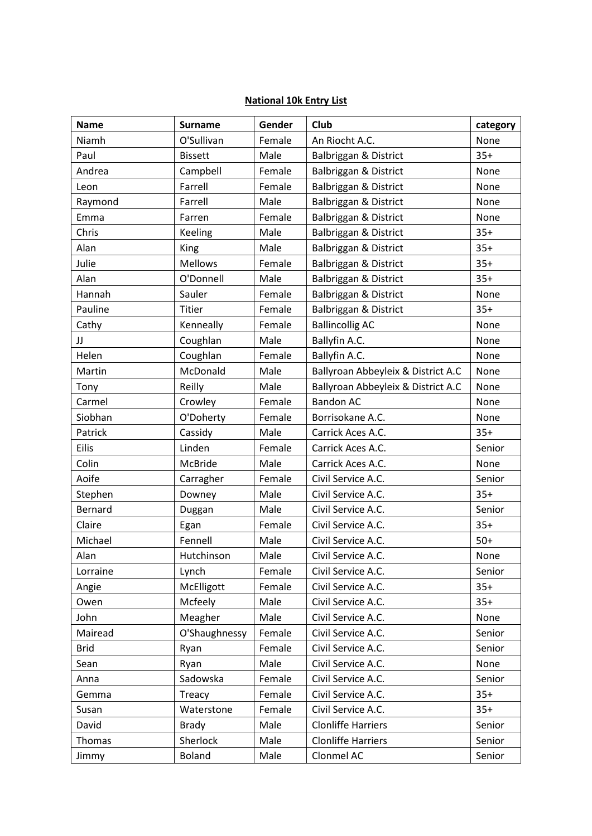## **National 10k Entry List**

| <b>Name</b>  | <b>Surname</b> | Gender | Club                               | category |
|--------------|----------------|--------|------------------------------------|----------|
| Niamh        | O'Sullivan     | Female | An Riocht A.C.                     | None     |
| Paul         | <b>Bissett</b> | Male   | Balbriggan & District              | $35+$    |
| Andrea       | Campbell       | Female | Balbriggan & District              | None     |
| Leon         | Farrell        | Female | Balbriggan & District              | None     |
| Raymond      | Farrell        | Male   | Balbriggan & District              | None     |
| Emma         | Farren         | Female | Balbriggan & District              | None     |
| Chris        | Keeling        | Male   | Balbriggan & District              | $35+$    |
| Alan         | King           | Male   | Balbriggan & District              | $35+$    |
| Julie        | <b>Mellows</b> | Female | Balbriggan & District              | $35+$    |
| Alan         | O'Donnell      | Male   | Balbriggan & District              | $35+$    |
| Hannah       | Sauler         | Female | Balbriggan & District              | None     |
| Pauline      | <b>Titier</b>  | Female | Balbriggan & District              | $35+$    |
| Cathy        | Kenneally      | Female | <b>Ballincollig AC</b>             | None     |
| IJ           | Coughlan       | Male   | Ballyfin A.C.                      | None     |
| Helen        | Coughlan       | Female | Ballyfin A.C.                      | None     |
| Martin       | McDonald       | Male   | Ballyroan Abbeyleix & District A.C | None     |
| Tony         | Reilly         | Male   | Ballyroan Abbeyleix & District A.C | None     |
| Carmel       | Crowley        | Female | <b>Bandon AC</b>                   | None     |
| Siobhan      | O'Doherty      | Female | Borrisokane A.C.                   | None     |
| Patrick      | Cassidy        | Male   | Carrick Aces A.C.                  | $35+$    |
| <b>Eilis</b> | Linden         | Female | Carrick Aces A.C.                  | Senior   |
| Colin        | McBride        | Male   | Carrick Aces A.C.                  | None     |
| Aoife        | Carragher      | Female | Civil Service A.C.                 | Senior   |
| Stephen      | Downey         | Male   | Civil Service A.C.                 | $35+$    |
| Bernard      | Duggan         | Male   | Civil Service A.C.                 | Senior   |
| Claire       | Egan           | Female | Civil Service A.C.                 | $35+$    |
| Michael      | Fennell        | Male   | Civil Service A.C.                 | $50+$    |
| Alan         | Hutchinson     | Male   | Civil Service A.C.                 | None     |
| Lorraine     | Lynch          | Female | Civil Service A.C.                 | Senior   |
| Angie        | McElligott     | Female | Civil Service A.C.                 | $35+$    |
| Owen         | Mcfeely        | Male   | Civil Service A.C.                 | $35+$    |
| John         | Meagher        | Male   | Civil Service A.C.                 | None     |
| Mairead      | O'Shaughnessy  | Female | Civil Service A.C.                 | Senior   |
| <b>Brid</b>  | Ryan           | Female | Civil Service A.C.                 | Senior   |
| Sean         | Ryan           | Male   | Civil Service A.C.                 | None     |
| Anna         | Sadowska       | Female | Civil Service A.C.                 | Senior   |
| Gemma        | Treacy         | Female | Civil Service A.C.                 | $35+$    |
| Susan        | Waterstone     | Female | Civil Service A.C.                 | $35+$    |
| David        | <b>Brady</b>   | Male   | <b>Clonliffe Harriers</b>          | Senior   |
| Thomas       | Sherlock       | Male   | <b>Clonliffe Harriers</b>          | Senior   |
| Jimmy        | <b>Boland</b>  | Male   | Clonmel AC                         | Senior   |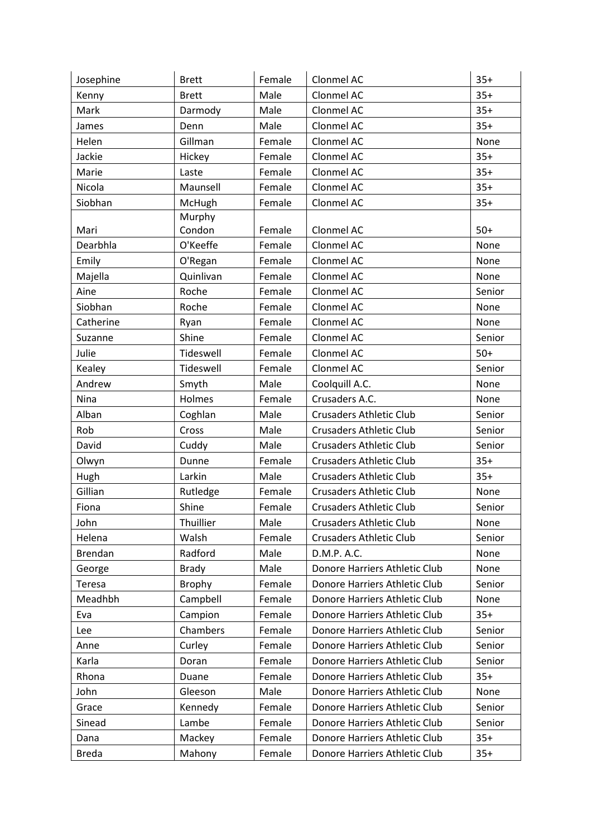| Josephine     | <b>Brett</b> | Female | Clonmel AC                     | $35+$  |
|---------------|--------------|--------|--------------------------------|--------|
| Kenny         | <b>Brett</b> | Male   | Clonmel AC                     | $35+$  |
| Mark          | Darmody      | Male   | Clonmel AC                     | $35+$  |
| James         | Denn         | Male   | Clonmel AC                     | $35+$  |
| Helen         | Gillman      | Female | Clonmel AC                     | None   |
| Jackie        | Hickey       | Female | Clonmel AC                     | $35+$  |
| Marie         | Laste        | Female | Clonmel AC                     | $35+$  |
| Nicola        | Maunsell     | Female | Clonmel AC                     | $35+$  |
| Siobhan       | McHugh       | Female | Clonmel AC                     | $35+$  |
|               | Murphy       |        |                                |        |
| Mari          | Condon       | Female | Clonmel AC                     | $50+$  |
| Dearbhla      | O'Keeffe     | Female | Clonmel AC                     | None   |
| Emily         | O'Regan      | Female | Clonmel AC                     | None   |
| Majella       | Quinlivan    | Female | Clonmel AC                     | None   |
| Aine          | Roche        | Female | Clonmel AC                     | Senior |
| Siobhan       | Roche        | Female | Clonmel AC                     | None   |
| Catherine     | Ryan         | Female | Clonmel AC                     | None   |
| Suzanne       | Shine        | Female | Clonmel AC                     | Senior |
| Julie         | Tideswell    | Female | Clonmel AC                     | $50+$  |
| Kealey        | Tideswell    | Female | Clonmel AC                     | Senior |
| Andrew        | Smyth        | Male   | Coolquill A.C.                 | None   |
| Nina          | Holmes       | Female | Crusaders A.C.                 | None   |
| Alban         | Coghlan      | Male   | <b>Crusaders Athletic Club</b> | Senior |
| Rob           | Cross        | Male   | <b>Crusaders Athletic Club</b> | Senior |
| David         | Cuddy        | Male   | <b>Crusaders Athletic Club</b> | Senior |
| Olwyn         | Dunne        | Female | <b>Crusaders Athletic Club</b> | $35+$  |
| Hugh          | Larkin       | Male   | <b>Crusaders Athletic Club</b> | $35+$  |
| Gillian       | Rutledge     | Female | <b>Crusaders Athletic Club</b> | None   |
| Fiona         | Shine        | Female | <b>Crusaders Athletic Club</b> | Senior |
| John          | Thuillier    | Male   | <b>Crusaders Athletic Club</b> | None   |
| Helena        | Walsh        | Female | <b>Crusaders Athletic Club</b> | Senior |
| Brendan       | Radford      | Male   | D.M.P. A.C.                    | None   |
| George        | <b>Brady</b> | Male   | Donore Harriers Athletic Club  | None   |
| <b>Teresa</b> | Brophy       | Female | Donore Harriers Athletic Club  | Senior |
| Meadhbh       | Campbell     | Female | Donore Harriers Athletic Club  | None   |
| Eva           | Campion      | Female | Donore Harriers Athletic Club  | $35+$  |
| Lee           | Chambers     | Female | Donore Harriers Athletic Club  | Senior |
| Anne          | Curley       | Female | Donore Harriers Athletic Club  | Senior |
| Karla         | Doran        | Female | Donore Harriers Athletic Club  | Senior |
| Rhona         | Duane        | Female | Donore Harriers Athletic Club  | $35+$  |
| John          | Gleeson      | Male   | Donore Harriers Athletic Club  | None   |
| Grace         | Kennedy      | Female | Donore Harriers Athletic Club  | Senior |
| Sinead        | Lambe        | Female | Donore Harriers Athletic Club  | Senior |
| Dana          | Mackey       | Female | Donore Harriers Athletic Club  | $35+$  |
| <b>Breda</b>  | Mahony       | Female | Donore Harriers Athletic Club  | $35+$  |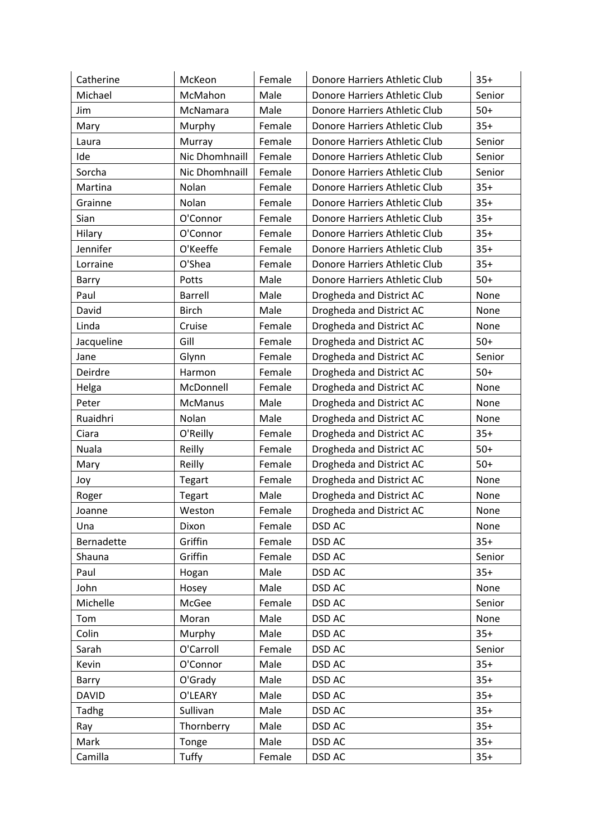| Catherine    | McKeon         | Female | Donore Harriers Athletic Club | $35+$  |
|--------------|----------------|--------|-------------------------------|--------|
| Michael      | McMahon        | Male   | Donore Harriers Athletic Club | Senior |
| Jim          | McNamara       | Male   | Donore Harriers Athletic Club | $50+$  |
| Mary         | Murphy         | Female | Donore Harriers Athletic Club | $35+$  |
| Laura        | Murray         | Female | Donore Harriers Athletic Club | Senior |
| Ide          | Nic Dhomhnaill | Female | Donore Harriers Athletic Club | Senior |
| Sorcha       | Nic Dhomhnaill | Female | Donore Harriers Athletic Club | Senior |
| Martina      | Nolan          | Female | Donore Harriers Athletic Club | $35+$  |
| Grainne      | Nolan          | Female | Donore Harriers Athletic Club | $35+$  |
| Sian         | O'Connor       | Female | Donore Harriers Athletic Club | $35+$  |
| Hilary       | O'Connor       | Female | Donore Harriers Athletic Club | $35+$  |
| Jennifer     | O'Keeffe       | Female | Donore Harriers Athletic Club | $35+$  |
| Lorraine     | O'Shea         | Female | Donore Harriers Athletic Club | $35+$  |
| Barry        | Potts          | Male   | Donore Harriers Athletic Club | $50+$  |
| Paul         | <b>Barrell</b> | Male   | Drogheda and District AC      | None   |
| David        | <b>Birch</b>   | Male   | Drogheda and District AC      | None   |
| Linda        | Cruise         | Female | Drogheda and District AC      | None   |
| Jacqueline   | Gill           | Female | Drogheda and District AC      | $50+$  |
| Jane         | Glynn          | Female | Drogheda and District AC      | Senior |
| Deirdre      | Harmon         | Female | Drogheda and District AC      | $50+$  |
| Helga        | McDonnell      | Female | Drogheda and District AC      | None   |
| Peter        | <b>McManus</b> | Male   | Drogheda and District AC      | None   |
| Ruaidhri     | Nolan          | Male   | Drogheda and District AC      | None   |
| Ciara        | O'Reilly       | Female | Drogheda and District AC      | $35+$  |
| Nuala        | Reilly         | Female | Drogheda and District AC      | $50+$  |
| Mary         | Reilly         | Female | Drogheda and District AC      | $50+$  |
| Joy          | Tegart         | Female | Drogheda and District AC      | None   |
| Roger        | Tegart         | Male   | Drogheda and District AC      | None   |
| Joanne       | Weston         | Female | Drogheda and District AC      | None   |
| Una          | Dixon          | Female | DSD AC                        | None   |
| Bernadette   | Griffin        | Female | DSD AC                        | $35+$  |
| Shauna       | Griffin        | Female | DSD AC                        | Senior |
| Paul         | Hogan          | Male   | DSD AC                        | $35+$  |
| John         | Hosey          | Male   | DSD AC                        | None   |
| Michelle     | McGee          | Female | DSD AC                        | Senior |
| Tom          | Moran          | Male   | DSD AC                        | None   |
| Colin        | Murphy         | Male   | DSD AC                        | $35+$  |
| Sarah        | O'Carroll      | Female | DSD AC                        | Senior |
| Kevin        | O'Connor       | Male   | DSD AC                        | $35+$  |
| Barry        | O'Grady        | Male   | DSD AC                        | $35+$  |
| <b>DAVID</b> | O'LEARY        | Male   | <b>DSD AC</b>                 | $35+$  |
| Tadhg        | Sullivan       | Male   | DSD AC                        | $35+$  |
| Ray          | Thornberry     | Male   | DSD AC                        | $35+$  |
| Mark         | Tonge          | Male   | DSD AC                        | $35+$  |
| Camilla      | Tuffy          | Female | DSD AC                        | $35+$  |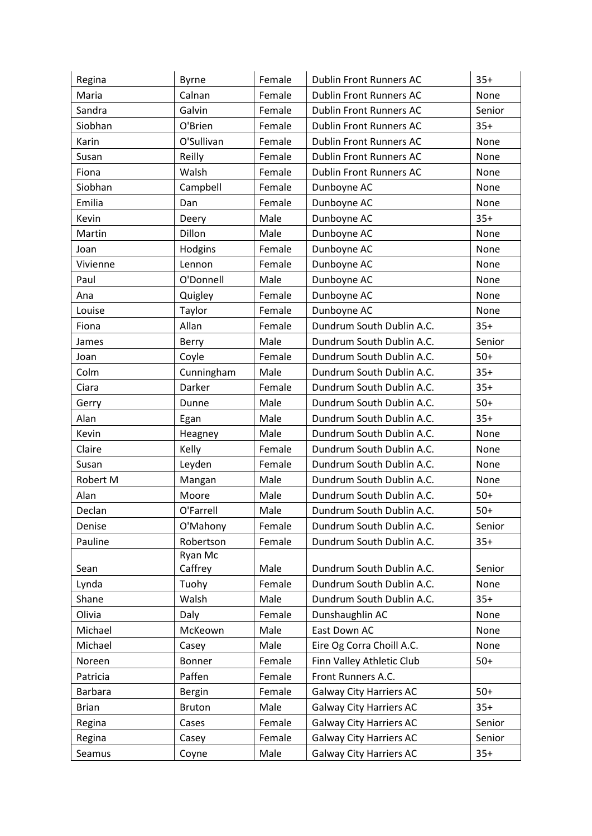| Regina         | <b>Byrne</b>  | Female | <b>Dublin Front Runners AC</b> | $35+$  |
|----------------|---------------|--------|--------------------------------|--------|
| Maria          | Calnan        | Female | <b>Dublin Front Runners AC</b> | None   |
| Sandra         | Galvin        | Female | <b>Dublin Front Runners AC</b> | Senior |
| Siobhan        | O'Brien       | Female | <b>Dublin Front Runners AC</b> | $35+$  |
| Karin          | O'Sullivan    | Female | <b>Dublin Front Runners AC</b> | None   |
| Susan          | Reilly        | Female | <b>Dublin Front Runners AC</b> | None   |
| Fiona          | Walsh         | Female | <b>Dublin Front Runners AC</b> | None   |
| Siobhan        | Campbell      | Female | Dunboyne AC                    | None   |
| Emilia         | Dan           | Female | Dunboyne AC                    | None   |
| Kevin          | Deery         | Male   | Dunboyne AC                    | $35+$  |
| Martin         | Dillon        | Male   | Dunboyne AC                    | None   |
| Joan           | Hodgins       | Female | Dunboyne AC                    | None   |
| Vivienne       | Lennon        | Female | Dunboyne AC                    | None   |
| Paul           | O'Donnell     | Male   | Dunboyne AC                    | None   |
| Ana            | Quigley       | Female | Dunboyne AC                    | None   |
| Louise         | Taylor        | Female | Dunboyne AC                    | None   |
| Fiona          | Allan         | Female | Dundrum South Dublin A.C.      | $35+$  |
| James          | Berry         | Male   | Dundrum South Dublin A.C.      | Senior |
| Joan           | Coyle         | Female | Dundrum South Dublin A.C.      | $50+$  |
| Colm           | Cunningham    | Male   | Dundrum South Dublin A.C.      | $35+$  |
| Ciara          | Darker        | Female | Dundrum South Dublin A.C.      | $35+$  |
| Gerry          | Dunne         | Male   | Dundrum South Dublin A.C.      | $50+$  |
| Alan           | Egan          | Male   | Dundrum South Dublin A.C.      | $35+$  |
| Kevin          | Heagney       | Male   | Dundrum South Dublin A.C.      | None   |
| Claire         | Kelly         | Female | Dundrum South Dublin A.C.      | None   |
| Susan          | Leyden        | Female | Dundrum South Dublin A.C.      | None   |
| Robert M       | Mangan        | Male   | Dundrum South Dublin A.C.      | None   |
| Alan           | Moore         | Male   | Dundrum South Dublin A.C.      | $50+$  |
| Declan         | O'Farrell     | Male   | Dundrum South Dublin A.C.      | $50+$  |
| Denise         | O'Mahony      | Female | Dundrum South Dublin A.C.      | Senior |
| Pauline        | Robertson     | Female | Dundrum South Dublin A.C.      | $35+$  |
|                | Ryan Mc       |        |                                |        |
| Sean           | Caffrey       | Male   | Dundrum South Dublin A.C.      | Senior |
| Lynda          | Tuohy         | Female | Dundrum South Dublin A.C.      | None   |
| Shane          | Walsh         | Male   | Dundrum South Dublin A.C.      | $35+$  |
| Olivia         | Daly          | Female | Dunshaughlin AC                | None   |
| Michael        | McKeown       | Male   | East Down AC                   | None   |
| Michael        | Casey         | Male   | Eire Og Corra Choill A.C.      | None   |
| Noreen         | Bonner        | Female | Finn Valley Athletic Club      | $50+$  |
| Patricia       | Paffen        | Female | Front Runners A.C.             |        |
| <b>Barbara</b> | Bergin        | Female | <b>Galway City Harriers AC</b> | $50+$  |
| <b>Brian</b>   | <b>Bruton</b> | Male   | <b>Galway City Harriers AC</b> | $35+$  |
| Regina         | Cases         | Female | <b>Galway City Harriers AC</b> | Senior |
| Regina         | Casey         | Female | <b>Galway City Harriers AC</b> | Senior |
| Seamus         | Coyne         | Male   | <b>Galway City Harriers AC</b> | $35+$  |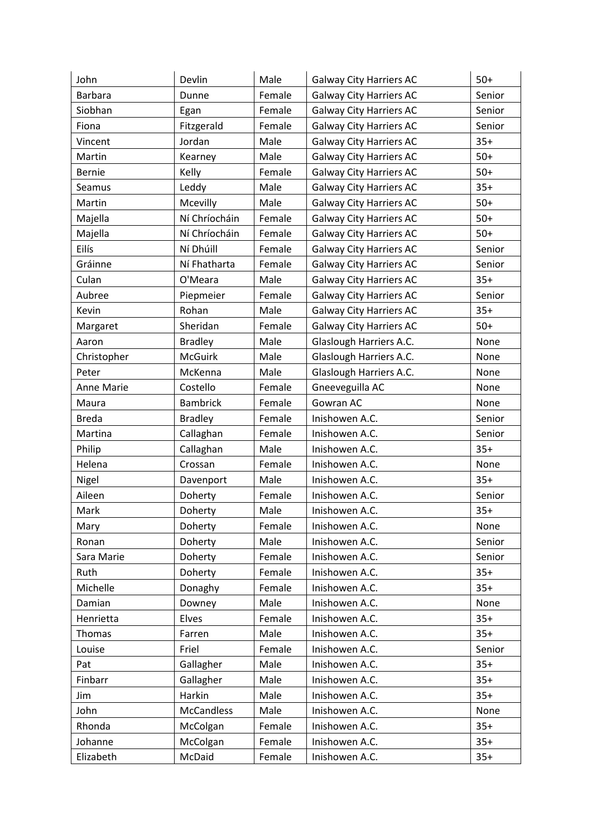| John           | Devlin            | Male   | <b>Galway City Harriers AC</b> | $50+$  |
|----------------|-------------------|--------|--------------------------------|--------|
| <b>Barbara</b> | Dunne             | Female | <b>Galway City Harriers AC</b> | Senior |
| Siobhan        | Egan              | Female | <b>Galway City Harriers AC</b> | Senior |
| Fiona          | Fitzgerald        | Female | <b>Galway City Harriers AC</b> | Senior |
| Vincent        | Jordan            | Male   | <b>Galway City Harriers AC</b> | $35+$  |
| Martin         | Kearney           | Male   | <b>Galway City Harriers AC</b> | $50+$  |
| <b>Bernie</b>  | Kelly             | Female | <b>Galway City Harriers AC</b> | $50+$  |
| Seamus         | Leddy             | Male   | <b>Galway City Harriers AC</b> | $35+$  |
| Martin         | Mcevilly          | Male   | <b>Galway City Harriers AC</b> | $50+$  |
| Majella        | Ní Chríocháin     | Female | <b>Galway City Harriers AC</b> | $50+$  |
| Majella        | Ní Chríocháin     | Female | <b>Galway City Harriers AC</b> | $50+$  |
| Eilís          | Ní Dhúill         | Female | <b>Galway City Harriers AC</b> | Senior |
| Gráinne        | Ní Fhatharta      | Female | <b>Galway City Harriers AC</b> | Senior |
| Culan          | O'Meara           | Male   | <b>Galway City Harriers AC</b> | $35+$  |
| Aubree         | Piepmeier         | Female | <b>Galway City Harriers AC</b> | Senior |
| Kevin          | Rohan             | Male   | <b>Galway City Harriers AC</b> | $35+$  |
| Margaret       | Sheridan          | Female | <b>Galway City Harriers AC</b> | $50+$  |
| Aaron          | <b>Bradley</b>    | Male   | Glaslough Harriers A.C.        | None   |
| Christopher    | <b>McGuirk</b>    | Male   | Glaslough Harriers A.C.        | None   |
| Peter          | McKenna           | Male   | Glaslough Harriers A.C.        | None   |
| Anne Marie     | Costello          | Female | Gneeveguilla AC                | None   |
| Maura          | <b>Bambrick</b>   | Female | Gowran AC                      | None   |
| <b>Breda</b>   | <b>Bradley</b>    | Female | Inishowen A.C.                 | Senior |
| Martina        | Callaghan         | Female | Inishowen A.C.                 | Senior |
| Philip         | Callaghan         | Male   | Inishowen A.C.                 | $35+$  |
| Helena         | Crossan           | Female | Inishowen A.C.                 | None   |
| Nigel          | Davenport         | Male   | Inishowen A.C.                 | $35+$  |
| Aileen         | Doherty           | Female | Inishowen A.C.                 | Senior |
| Mark           | Doherty           | Male   | Inishowen A.C.                 | $35+$  |
| Mary           | Doherty           | Female | Inishowen A.C.                 | None   |
| Ronan          | Doherty           | Male   | Inishowen A.C.                 | Senior |
| Sara Marie     | Doherty           | Female | Inishowen A.C.                 | Senior |
| Ruth           | Doherty           | Female | Inishowen A.C.                 | $35+$  |
| Michelle       | Donaghy           | Female | Inishowen A.C.                 | $35+$  |
| Damian         | Downey            | Male   | Inishowen A.C.                 | None   |
| Henrietta      | Elves             | Female | Inishowen A.C.                 | $35+$  |
| <b>Thomas</b>  | Farren            | Male   | Inishowen A.C.                 | $35+$  |
| Louise         | Friel             | Female | Inishowen A.C.                 | Senior |
| Pat            | Gallagher         | Male   | Inishowen A.C.                 | $35+$  |
| Finbarr        | Gallagher         | Male   | Inishowen A.C.                 | $35+$  |
| Jim            | Harkin            | Male   | Inishowen A.C.                 | $35+$  |
| John           | <b>McCandless</b> | Male   | Inishowen A.C.                 | None   |
| Rhonda         | McColgan          | Female | Inishowen A.C.                 | $35+$  |
| Johanne        | McColgan          | Female | Inishowen A.C.                 | $35+$  |
| Elizabeth      | McDaid            | Female | Inishowen A.C.                 | $35+$  |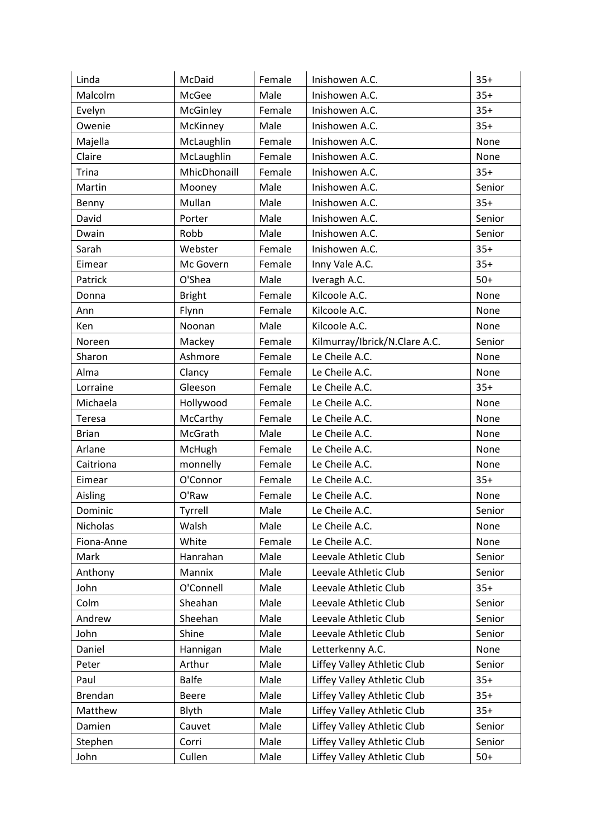| Linda          | McDaid        | Female | Inishowen A.C.                | $35+$  |
|----------------|---------------|--------|-------------------------------|--------|
| Malcolm        | McGee         | Male   | Inishowen A.C.                | $35+$  |
| Evelyn         | McGinley      | Female | Inishowen A.C.                | $35+$  |
| Owenie         | McKinney      | Male   | Inishowen A.C.                | $35+$  |
| Majella        | McLaughlin    | Female | Inishowen A.C.                | None   |
| Claire         | McLaughlin    | Female | Inishowen A.C.                | None   |
| <b>Trina</b>   | MhicDhonaill  | Female | Inishowen A.C.                | $35+$  |
| Martin         | Mooney        | Male   | Inishowen A.C.                | Senior |
| Benny          | Mullan        | Male   | Inishowen A.C.                | $35+$  |
| David          | Porter        | Male   | Inishowen A.C.                | Senior |
| Dwain          | Robb          | Male   | Inishowen A.C.                | Senior |
| Sarah          | Webster       | Female | Inishowen A.C.                | $35+$  |
| Eimear         | Mc Govern     | Female | Inny Vale A.C.                | $35+$  |
| Patrick        | O'Shea        | Male   | Iveragh A.C.                  | $50+$  |
| Donna          | <b>Bright</b> | Female | Kilcoole A.C.                 | None   |
| Ann            | Flynn         | Female | Kilcoole A.C.                 | None   |
| Ken            | Noonan        | Male   | Kilcoole A.C.                 | None   |
| Noreen         | Mackey        | Female | Kilmurray/Ibrick/N.Clare A.C. | Senior |
| Sharon         | Ashmore       | Female | Le Cheile A.C.                | None   |
| Alma           | Clancy        | Female | Le Cheile A.C.                | None   |
| Lorraine       | Gleeson       | Female | Le Cheile A.C.                | $35+$  |
| Michaela       | Hollywood     | Female | Le Cheile A.C.                | None   |
| <b>Teresa</b>  | McCarthy      | Female | Le Cheile A.C.                | None   |
| <b>Brian</b>   | McGrath       | Male   | Le Cheile A.C.                | None   |
| Arlane         | McHugh        | Female | Le Cheile A.C.                | None   |
| Caitriona      | monnelly      | Female | Le Cheile A.C.                | None   |
| Eimear         | O'Connor      | Female | Le Cheile A.C.                | $35+$  |
| Aisling        | O'Raw         | Female | Le Cheile A.C.                | None   |
| Dominic        | Tyrrell       | Male   | Le Cheile A.C.                | Senior |
| Nicholas       | Walsh         | Male   | Le Cheile A.C.                | None   |
| Fiona-Anne     | White         | Female | Le Cheile A.C.                | None   |
| Mark           | Hanrahan      | Male   | Leevale Athletic Club         | Senior |
| Anthony        | Mannix        | Male   | Leevale Athletic Club         | Senior |
| John           | O'Connell     | Male   | Leevale Athletic Club         | $35+$  |
| Colm           | Sheahan       | Male   | Leevale Athletic Club         | Senior |
| Andrew         | Sheehan       | Male   | Leevale Athletic Club         | Senior |
| John           | Shine         | Male   | Leevale Athletic Club         | Senior |
| Daniel         | Hannigan      | Male   | Letterkenny A.C.              | None   |
| Peter          | Arthur        | Male   | Liffey Valley Athletic Club   | Senior |
| Paul           | <b>Balfe</b>  | Male   | Liffey Valley Athletic Club   | $35+$  |
| <b>Brendan</b> | Beere         | Male   | Liffey Valley Athletic Club   | $35+$  |
| Matthew        | <b>Blyth</b>  | Male   | Liffey Valley Athletic Club   | $35+$  |
| Damien         | Cauvet        | Male   | Liffey Valley Athletic Club   | Senior |
| Stephen        | Corri         | Male   | Liffey Valley Athletic Club   | Senior |
| John           | Cullen        | Male   | Liffey Valley Athletic Club   | $50+$  |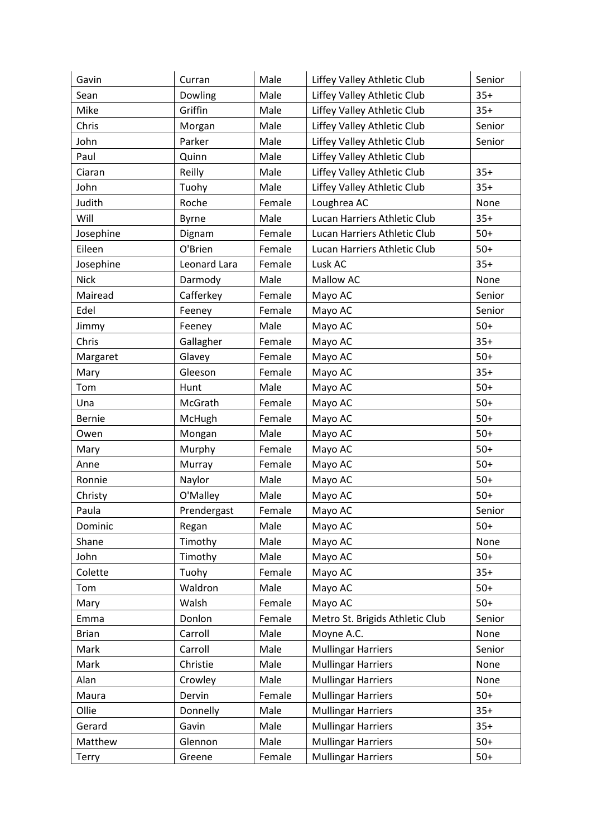| Gavin         | Curran       | Male   | Liffey Valley Athletic Club     | Senior |
|---------------|--------------|--------|---------------------------------|--------|
| Sean          | Dowling      | Male   | Liffey Valley Athletic Club     | $35+$  |
| Mike          | Griffin      | Male   | Liffey Valley Athletic Club     | $35+$  |
| Chris         | Morgan       | Male   | Liffey Valley Athletic Club     | Senior |
| John          | Parker       | Male   | Liffey Valley Athletic Club     | Senior |
| Paul          | Quinn        | Male   | Liffey Valley Athletic Club     |        |
| Ciaran        | Reilly       | Male   | Liffey Valley Athletic Club     | $35+$  |
| John          | Tuohy        | Male   | Liffey Valley Athletic Club     | $35+$  |
| Judith        | Roche        | Female | Loughrea AC                     | None   |
| Will          | Byrne        | Male   | Lucan Harriers Athletic Club    | $35+$  |
| Josephine     | Dignam       | Female | Lucan Harriers Athletic Club    | $50+$  |
| Eileen        | O'Brien      | Female | Lucan Harriers Athletic Club    | $50+$  |
| Josephine     | Leonard Lara | Female | Lusk AC                         | $35+$  |
| <b>Nick</b>   | Darmody      | Male   | Mallow AC                       | None   |
| Mairead       | Cafferkey    | Female | Mayo AC                         | Senior |
| Edel          | Feeney       | Female | Mayo AC                         | Senior |
| Jimmy         | Feeney       | Male   | Mayo AC                         | $50+$  |
| Chris         | Gallagher    | Female | Mayo AC                         | $35+$  |
| Margaret      | Glavey       | Female | Mayo AC                         | $50+$  |
| Mary          | Gleeson      | Female | Mayo AC                         | $35+$  |
| Tom           | Hunt         | Male   | Mayo AC                         | $50+$  |
| Una           | McGrath      | Female | Mayo AC                         | $50+$  |
| <b>Bernie</b> | McHugh       | Female | Mayo AC                         | $50+$  |
| Owen          | Mongan       | Male   | Mayo AC                         | $50+$  |
| Mary          | Murphy       | Female | Mayo AC                         | $50+$  |
| Anne          | Murray       | Female | Mayo AC                         | $50+$  |
| Ronnie        | Naylor       | Male   | Mayo AC                         | $50+$  |
| Christy       | O'Malley     | Male   | Mayo AC                         | $50+$  |
| Paula         | Prendergast  | Female | Mayo AC                         | Senior |
| Dominic       | Regan        | Male   | Mayo AC                         | $50+$  |
| Shane         | Timothy      | Male   | Mayo AC                         | None   |
| John          | Timothy      | Male   | Mayo AC                         | $50+$  |
| Colette       | Tuohy        | Female | Mayo AC                         | $35+$  |
| Tom           | Waldron      | Male   | Mayo AC                         | $50+$  |
| Mary          | Walsh        | Female | Mayo AC                         | $50+$  |
| Emma          | Donlon       | Female | Metro St. Brigids Athletic Club | Senior |
| <b>Brian</b>  | Carroll      | Male   | Moyne A.C.                      | None   |
| Mark          | Carroll      | Male   | <b>Mullingar Harriers</b>       | Senior |
| Mark          | Christie     | Male   | <b>Mullingar Harriers</b>       | None   |
| Alan          | Crowley      | Male   | <b>Mullingar Harriers</b>       | None   |
| Maura         | Dervin       | Female | <b>Mullingar Harriers</b>       | $50+$  |
| Ollie         | Donnelly     | Male   | <b>Mullingar Harriers</b>       | $35+$  |
| Gerard        | Gavin        | Male   | <b>Mullingar Harriers</b>       | $35+$  |
| Matthew       | Glennon      | Male   | <b>Mullingar Harriers</b>       | $50+$  |
| <b>Terry</b>  | Greene       | Female | <b>Mullingar Harriers</b>       | $50+$  |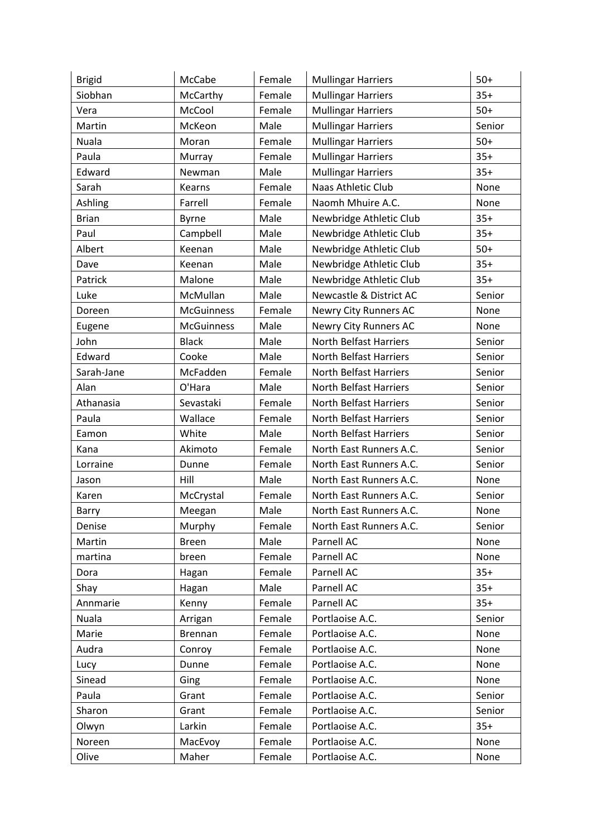| <b>Brigid</b> | McCabe            | Female | <b>Mullingar Harriers</b> | $50+$  |
|---------------|-------------------|--------|---------------------------|--------|
| Siobhan       | McCarthy          | Female | <b>Mullingar Harriers</b> | $35+$  |
| Vera          | McCool            | Female | <b>Mullingar Harriers</b> | $50+$  |
| Martin        | McKeon            | Male   | <b>Mullingar Harriers</b> | Senior |
| Nuala         | Moran             | Female | <b>Mullingar Harriers</b> | $50+$  |
| Paula         | Murray            | Female | <b>Mullingar Harriers</b> | $35+$  |
| Edward        | Newman            | Male   | <b>Mullingar Harriers</b> | $35+$  |
| Sarah         | Kearns            | Female | Naas Athletic Club        | None   |
| Ashling       | Farrell           | Female | Naomh Mhuire A.C.         | None   |
| <b>Brian</b>  | Byrne             | Male   | Newbridge Athletic Club   | $35+$  |
| Paul          | Campbell          | Male   | Newbridge Athletic Club   | $35+$  |
| Albert        | Keenan            | Male   | Newbridge Athletic Club   | $50+$  |
| Dave          | Keenan            | Male   | Newbridge Athletic Club   | $35+$  |
| Patrick       | Malone            | Male   | Newbridge Athletic Club   | $35+$  |
| Luke          | McMullan          | Male   | Newcastle & District AC   | Senior |
| Doreen        | <b>McGuinness</b> | Female | Newry City Runners AC     | None   |
| Eugene        | <b>McGuinness</b> | Male   | Newry City Runners AC     | None   |
| John          | <b>Black</b>      | Male   | North Belfast Harriers    | Senior |
| Edward        | Cooke             | Male   | North Belfast Harriers    | Senior |
| Sarah-Jane    | McFadden          | Female | North Belfast Harriers    | Senior |
| Alan          | O'Hara            | Male   | North Belfast Harriers    | Senior |
| Athanasia     | Sevastaki         | Female | North Belfast Harriers    | Senior |
| Paula         | Wallace           | Female | North Belfast Harriers    | Senior |
| Eamon         | White             | Male   | North Belfast Harriers    | Senior |
| Kana          | Akimoto           | Female | North East Runners A.C.   | Senior |
| Lorraine      | Dunne             | Female | North East Runners A.C.   | Senior |
| Jason         | Hill              | Male   | North East Runners A.C.   | None   |
| Karen         | McCrystal         | Female | North East Runners A.C.   | Senior |
| Barry         | Meegan            | Male   | North East Runners A.C.   | None   |
| Denise        | Murphy            | Female | North East Runners A.C.   | Senior |
| Martin        | <b>Breen</b>      | Male   | Parnell AC                | None   |
| martina       | breen             | Female | Parnell AC                | None   |
| Dora          | Hagan             | Female | Parnell AC                | $35+$  |
| Shay          | Hagan             | Male   | Parnell AC                | $35+$  |
| Annmarie      | Kenny             | Female | Parnell AC                | $35+$  |
| Nuala         | Arrigan           | Female | Portlaoise A.C.           | Senior |
| Marie         | Brennan           | Female | Portlaoise A.C.           | None   |
| Audra         | Conroy            | Female | Portlaoise A.C.           | None   |
| Lucy          | Dunne             | Female | Portlaoise A.C.           | None   |
| Sinead        | Ging              | Female | Portlaoise A.C.           | None   |
| Paula         | Grant             | Female | Portlaoise A.C.           | Senior |
| Sharon        | Grant             | Female | Portlaoise A.C.           | Senior |
| Olwyn         | Larkin            | Female | Portlaoise A.C.           | $35+$  |
| Noreen        | MacEvoy           | Female | Portlaoise A.C.           | None   |
| Olive         | Maher             | Female | Portlaoise A.C.           | None   |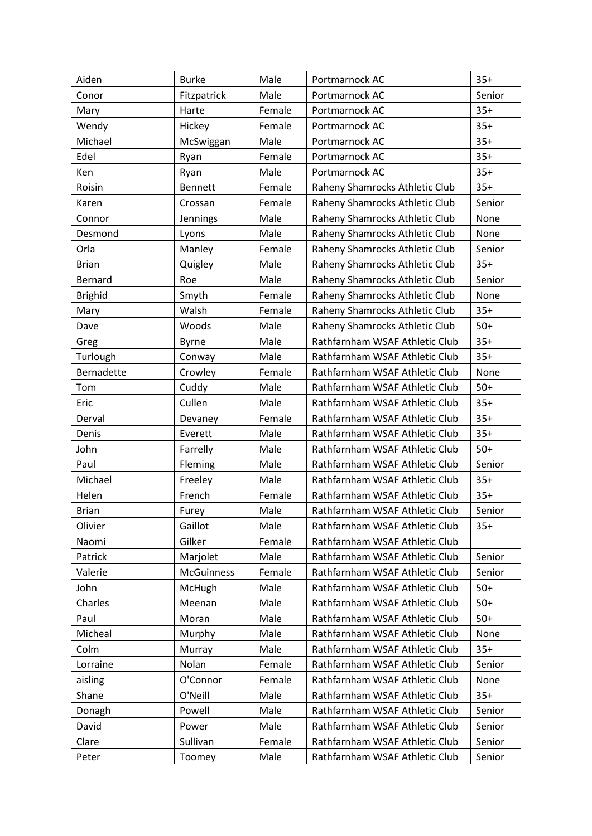| Aiden          | <b>Burke</b>      | Male   | Portmarnock AC                 | $35+$  |
|----------------|-------------------|--------|--------------------------------|--------|
| Conor          | Fitzpatrick       | Male   | Portmarnock AC                 | Senior |
| Mary           | Harte             | Female | Portmarnock AC                 | $35+$  |
| Wendy          | Hickey            | Female | Portmarnock AC                 | $35+$  |
| Michael        | McSwiggan         | Male   | Portmarnock AC                 | $35+$  |
| Edel           | Ryan              | Female | Portmarnock AC                 | $35+$  |
| Ken            | Ryan              | Male   | Portmarnock AC                 | $35+$  |
| Roisin         | <b>Bennett</b>    | Female | Raheny Shamrocks Athletic Club | $35+$  |
| Karen          | Crossan           | Female | Raheny Shamrocks Athletic Club | Senior |
| Connor         | Jennings          | Male   | Raheny Shamrocks Athletic Club | None   |
| Desmond        | Lyons             | Male   | Raheny Shamrocks Athletic Club | None   |
| Orla           | Manley            | Female | Raheny Shamrocks Athletic Club | Senior |
| <b>Brian</b>   | Quigley           | Male   | Raheny Shamrocks Athletic Club | $35+$  |
| Bernard        | Roe               | Male   | Raheny Shamrocks Athletic Club | Senior |
| <b>Brighid</b> | Smyth             | Female | Raheny Shamrocks Athletic Club | None   |
| Mary           | Walsh             | Female | Raheny Shamrocks Athletic Club | $35+$  |
| Dave           | Woods             | Male   | Raheny Shamrocks Athletic Club | $50+$  |
| Greg           | <b>Byrne</b>      | Male   | Rathfarnham WSAF Athletic Club | $35+$  |
| Turlough       | Conway            | Male   | Rathfarnham WSAF Athletic Club | $35+$  |
| Bernadette     | Crowley           | Female | Rathfarnham WSAF Athletic Club | None   |
| Tom            | Cuddy             | Male   | Rathfarnham WSAF Athletic Club | $50+$  |
| Eric           | Cullen            | Male   | Rathfarnham WSAF Athletic Club | $35+$  |
| Derval         | Devaney           | Female | Rathfarnham WSAF Athletic Club | $35+$  |
| Denis          | Everett           | Male   | Rathfarnham WSAF Athletic Club | $35+$  |
| John           | Farrelly          | Male   | Rathfarnham WSAF Athletic Club | $50+$  |
| Paul           | Fleming           | Male   | Rathfarnham WSAF Athletic Club | Senior |
| Michael        | Freeley           | Male   | Rathfarnham WSAF Athletic Club | $35+$  |
| Helen          | French            | Female | Rathfarnham WSAF Athletic Club | $35+$  |
| <b>Brian</b>   | Furey             | Male   | Rathfarnham WSAF Athletic Club | Senior |
| Olivier        | Gaillot           | Male   | Rathfarnham WSAF Athletic Club | $35+$  |
| Naomi          | Gilker            | Female | Rathfarnham WSAF Athletic Club |        |
| Patrick        | Marjolet          | Male   | Rathfarnham WSAF Athletic Club | Senior |
| Valerie        | <b>McGuinness</b> | Female | Rathfarnham WSAF Athletic Club | Senior |
| John           | McHugh            | Male   | Rathfarnham WSAF Athletic Club | $50+$  |
| Charles        | Meenan            | Male   | Rathfarnham WSAF Athletic Club | $50+$  |
| Paul           | Moran             | Male   | Rathfarnham WSAF Athletic Club | $50+$  |
| Micheal        | Murphy            | Male   | Rathfarnham WSAF Athletic Club | None   |
| Colm           | Murray            | Male   | Rathfarnham WSAF Athletic Club | $35+$  |
| Lorraine       | Nolan             | Female | Rathfarnham WSAF Athletic Club | Senior |
| aisling        | O'Connor          | Female | Rathfarnham WSAF Athletic Club | None   |
| Shane          | O'Neill           | Male   | Rathfarnham WSAF Athletic Club | $35+$  |
| Donagh         | Powell            | Male   | Rathfarnham WSAF Athletic Club | Senior |
| David          | Power             | Male   | Rathfarnham WSAF Athletic Club | Senior |
| Clare          | Sullivan          | Female | Rathfarnham WSAF Athletic Club | Senior |
| Peter          | Toomey            | Male   | Rathfarnham WSAF Athletic Club | Senior |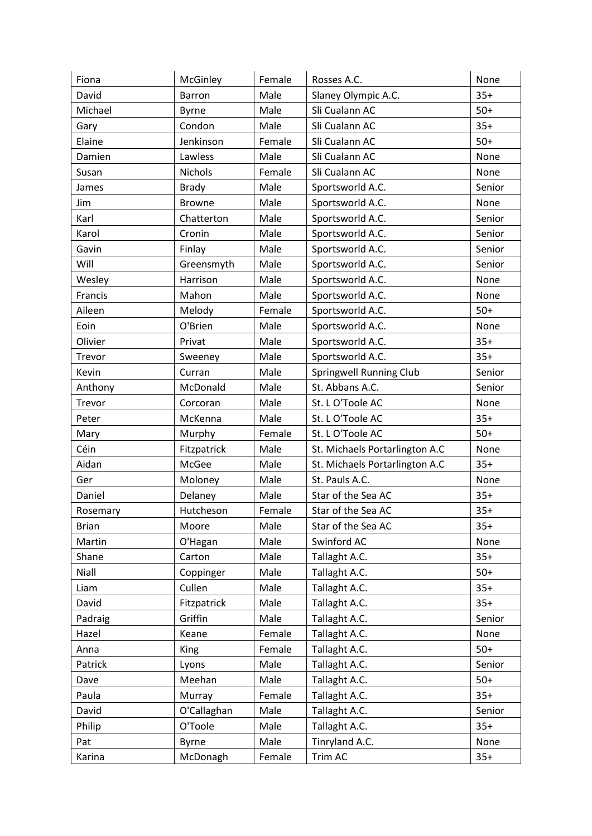| Fiona        | McGinley     | Female | Rosses A.C.                    | None   |
|--------------|--------------|--------|--------------------------------|--------|
| David        | Barron       | Male   | Slaney Olympic A.C.            | $35+$  |
| Michael      | Byrne        | Male   | Sli Cualann AC                 | $50+$  |
| Gary         | Condon       | Male   | Sli Cualann AC                 | $35+$  |
| Elaine       | Jenkinson    | Female | Sli Cualann AC                 | $50+$  |
| Damien       | Lawless      | Male   | Sli Cualann AC                 | None   |
| Susan        | Nichols      | Female | Sli Cualann AC                 | None   |
| James        | <b>Brady</b> | Male   | Sportsworld A.C.               | Senior |
| Jim          | Browne       | Male   | Sportsworld A.C.               | None   |
| Karl         | Chatterton   | Male   | Sportsworld A.C.               | Senior |
| Karol        | Cronin       | Male   | Sportsworld A.C.               | Senior |
| Gavin        | Finlay       | Male   | Sportsworld A.C.               | Senior |
| Will         | Greensmyth   | Male   | Sportsworld A.C.               | Senior |
| Wesley       | Harrison     | Male   | Sportsworld A.C.               | None   |
| Francis      | Mahon        | Male   | Sportsworld A.C.               | None   |
| Aileen       | Melody       | Female | Sportsworld A.C.               | $50+$  |
| Eoin         | O'Brien      | Male   | Sportsworld A.C.               | None   |
| Olivier      | Privat       | Male   | Sportsworld A.C.               | $35+$  |
| Trevor       | Sweeney      | Male   | Sportsworld A.C.               | $35+$  |
| Kevin        | Curran       | Male   | Springwell Running Club        | Senior |
| Anthony      | McDonald     | Male   | St. Abbans A.C.                | Senior |
| Trevor       | Corcoran     | Male   | St. L O'Toole AC               | None   |
| Peter        | McKenna      | Male   | St. L O'Toole AC               | $35+$  |
| Mary         | Murphy       | Female | St. L O'Toole AC               | $50+$  |
| Céin         | Fitzpatrick  | Male   | St. Michaels Portarlington A.C | None   |
| Aidan        | McGee        | Male   | St. Michaels Portarlington A.C | $35+$  |
| Ger          | Moloney      | Male   | St. Pauls A.C.                 | None   |
| Daniel       | Delaney      | Male   | Star of the Sea AC             | $35+$  |
| Rosemary     | Hutcheson    | Female | Star of the Sea AC             | $35+$  |
| <b>Brian</b> | Moore        | Male   | Star of the Sea AC             | $35+$  |
| Martin       | O'Hagan      | Male   | Swinford AC                    | None   |
| Shane        | Carton       | Male   | Tallaght A.C.                  | $35+$  |
| Niall        | Coppinger    | Male   | Tallaght A.C.                  | $50+$  |
| Liam         | Cullen       | Male   | Tallaght A.C.                  | $35+$  |
| David        | Fitzpatrick  | Male   | Tallaght A.C.                  | $35+$  |
| Padraig      | Griffin      | Male   | Tallaght A.C.                  | Senior |
| Hazel        | Keane        | Female | Tallaght A.C.                  | None   |
| Anna         | <b>King</b>  | Female | Tallaght A.C.                  | $50+$  |
| Patrick      | Lyons        | Male   | Tallaght A.C.                  | Senior |
| Dave         | Meehan       | Male   | Tallaght A.C.                  | $50+$  |
| Paula        | Murray       | Female | Tallaght A.C.                  | $35+$  |
| David        | O'Callaghan  | Male   | Tallaght A.C.                  | Senior |
| Philip       | O'Toole      | Male   | Tallaght A.C.                  | $35+$  |
| Pat          | <b>Byrne</b> | Male   | Tinryland A.C.                 | None   |
| Karina       | McDonagh     | Female | Trim AC                        | $35+$  |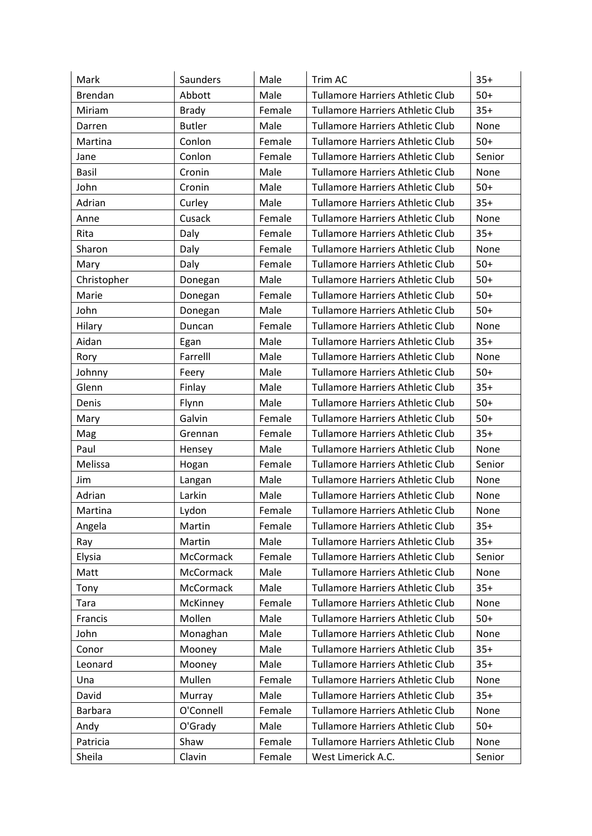| Mark         | Saunders      | Male   | Trim AC                                 | $35+$  |
|--------------|---------------|--------|-----------------------------------------|--------|
| Brendan      | Abbott        | Male   | Tullamore Harriers Athletic Club        | $50+$  |
| Miriam       | <b>Brady</b>  | Female | <b>Tullamore Harriers Athletic Club</b> | $35+$  |
| Darren       | <b>Butler</b> | Male   | <b>Tullamore Harriers Athletic Club</b> | None   |
| Martina      | Conlon        | Female | <b>Tullamore Harriers Athletic Club</b> | $50+$  |
| Jane         | Conlon        | Female | <b>Tullamore Harriers Athletic Club</b> | Senior |
| <b>Basil</b> | Cronin        | Male   | <b>Tullamore Harriers Athletic Club</b> | None   |
| John         | Cronin        | Male   | <b>Tullamore Harriers Athletic Club</b> | $50+$  |
| Adrian       | Curley        | Male   | <b>Tullamore Harriers Athletic Club</b> | $35+$  |
| Anne         | Cusack        | Female | <b>Tullamore Harriers Athletic Club</b> | None   |
| Rita         | Daly          | Female | <b>Tullamore Harriers Athletic Club</b> | $35+$  |
| Sharon       | Daly          | Female | Tullamore Harriers Athletic Club        | None   |
| Mary         | Daly          | Female | <b>Tullamore Harriers Athletic Club</b> | $50+$  |
| Christopher  | Donegan       | Male   | Tullamore Harriers Athletic Club        | $50+$  |
| Marie        | Donegan       | Female | <b>Tullamore Harriers Athletic Club</b> | $50+$  |
| John         | Donegan       | Male   | <b>Tullamore Harriers Athletic Club</b> | $50+$  |
| Hilary       | Duncan        | Female | Tullamore Harriers Athletic Club        | None   |
| Aidan        | Egan          | Male   | <b>Tullamore Harriers Athletic Club</b> | $35+$  |
| Rory         | Farrelll      | Male   | <b>Tullamore Harriers Athletic Club</b> | None   |
| Johnny       | Feery         | Male   | <b>Tullamore Harriers Athletic Club</b> | $50+$  |
| Glenn        | Finlay        | Male   | <b>Tullamore Harriers Athletic Club</b> | $35+$  |
| Denis        | Flynn         | Male   | Tullamore Harriers Athletic Club        | $50+$  |
| Mary         | Galvin        | Female | <b>Tullamore Harriers Athletic Club</b> | $50+$  |
| Mag          | Grennan       | Female | Tullamore Harriers Athletic Club        | $35+$  |
| Paul         | Hensey        | Male   | <b>Tullamore Harriers Athletic Club</b> | None   |
| Melissa      | Hogan         | Female | <b>Tullamore Harriers Athletic Club</b> | Senior |
| Jim          | Langan        | Male   | <b>Tullamore Harriers Athletic Club</b> | None   |
| Adrian       | Larkin        | Male   | <b>Tullamore Harriers Athletic Club</b> | None   |
| Martina      | Lydon         | Female | <b>Tullamore Harriers Athletic Club</b> | None   |
| Angela       | Martin        | Female | Tullamore Harriers Athletic Club        | $35+$  |
| Ray          | Martin        | Male   | Tullamore Harriers Athletic Club        | $35+$  |
| Elysia       | McCormack     | Female | <b>Tullamore Harriers Athletic Club</b> | Senior |
| Matt         | McCormack     | Male   | <b>Tullamore Harriers Athletic Club</b> | None   |
| Tony         | McCormack     | Male   | <b>Tullamore Harriers Athletic Club</b> | $35+$  |
| Tara         | McKinney      | Female | <b>Tullamore Harriers Athletic Club</b> | None   |
| Francis      | Mollen        | Male   | Tullamore Harriers Athletic Club        | $50+$  |
| John         | Monaghan      | Male   | <b>Tullamore Harriers Athletic Club</b> | None   |
| Conor        | Mooney        | Male   | <b>Tullamore Harriers Athletic Club</b> | $35+$  |
| Leonard      | Mooney        | Male   | <b>Tullamore Harriers Athletic Club</b> | $35+$  |
| Una          | Mullen        | Female | <b>Tullamore Harriers Athletic Club</b> | None   |
| David        | Murray        | Male   | Tullamore Harriers Athletic Club        | $35+$  |
| Barbara      | O'Connell     | Female | <b>Tullamore Harriers Athletic Club</b> | None   |
| Andy         | O'Grady       | Male   | <b>Tullamore Harriers Athletic Club</b> | $50+$  |
| Patricia     | Shaw          | Female | <b>Tullamore Harriers Athletic Club</b> | None   |
| Sheila       | Clavin        | Female | West Limerick A.C.                      | Senior |